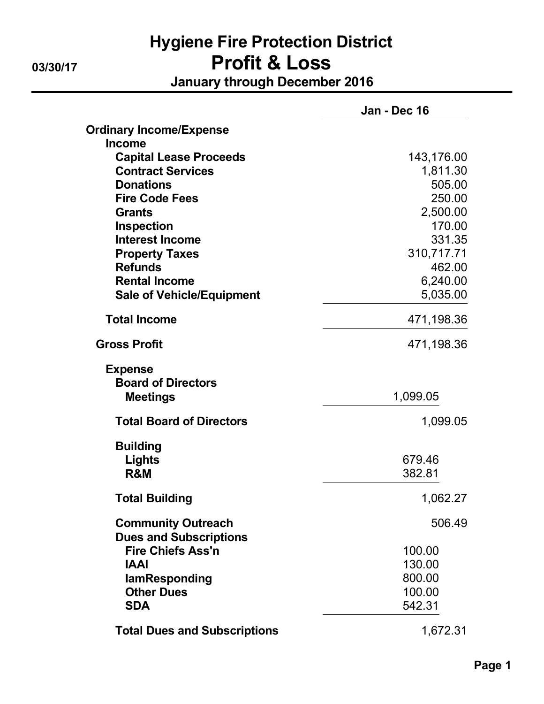## Hygiene Fire Protection District 03/30/17 **Profit & Loss** January through December 2016

|                                     | Jan - Dec 16 |
|-------------------------------------|--------------|
| <b>Ordinary Income/Expense</b>      |              |
| <b>Income</b>                       |              |
| <b>Capital Lease Proceeds</b>       | 143,176.00   |
| <b>Contract Services</b>            | 1,811.30     |
| <b>Donations</b>                    | 505.00       |
| <b>Fire Code Fees</b>               | 250.00       |
| <b>Grants</b>                       | 2,500.00     |
| <b>Inspection</b>                   | 170.00       |
| <b>Interest Income</b>              | 331.35       |
| <b>Property Taxes</b>               | 310,717.71   |
| <b>Refunds</b>                      | 462.00       |
| <b>Rental Income</b>                | 6,240.00     |
| <b>Sale of Vehicle/Equipment</b>    | 5,035.00     |
| <b>Total Income</b>                 | 471,198.36   |
| <b>Gross Profit</b>                 | 471,198.36   |
| <b>Expense</b>                      |              |
| <b>Board of Directors</b>           |              |
| <b>Meetings</b>                     | 1,099.05     |
| <b>Total Board of Directors</b>     | 1,099.05     |
| <b>Building</b>                     |              |
| <b>Lights</b>                       | 679.46       |
| R&M                                 | 382.81       |
| <b>Total Building</b>               | 1,062.27     |
| <b>Community Outreach</b>           | 506.49       |
| <b>Dues and Subscriptions</b>       |              |
| <b>Fire Chiefs Ass'n</b>            | 100.00       |
| <b>IAAI</b>                         | 130.00       |
| lamResponding                       | 800.00       |
| <b>Other Dues</b>                   | 100.00       |
| <b>SDA</b>                          | 542.31       |
| <b>Total Dues and Subscriptions</b> | 1,672.31     |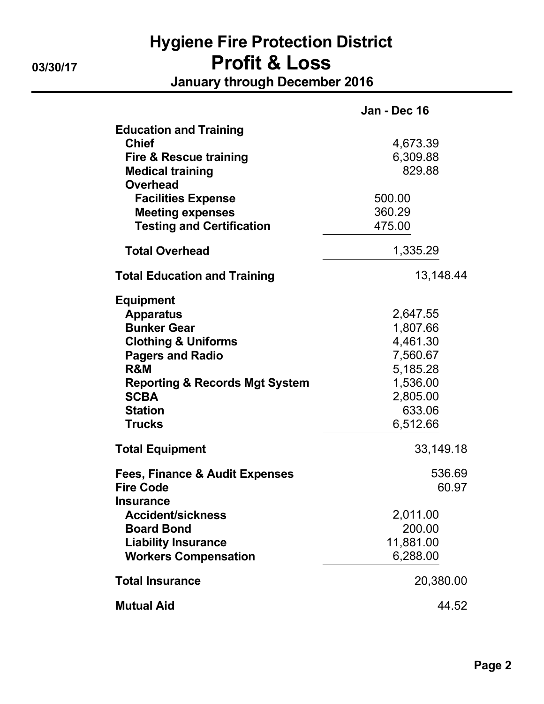# Hygiene Fire Protection District 03/30/17 Profit & Loss January through December 2016

|                                                                                                                                                                                                                               | Jan - Dec 16                                                                                           |
|-------------------------------------------------------------------------------------------------------------------------------------------------------------------------------------------------------------------------------|--------------------------------------------------------------------------------------------------------|
| <b>Education and Training</b><br><b>Chief</b><br><b>Fire &amp; Rescue training</b><br><b>Medical training</b><br><b>Overhead</b><br><b>Facilities Expense</b><br><b>Meeting expenses</b><br><b>Testing and Certification</b>  | 4,673.39<br>6,309.88<br>829.88<br>500.00<br>360.29<br>475.00                                           |
| <b>Total Overhead</b>                                                                                                                                                                                                         | 1,335.29                                                                                               |
| <b>Total Education and Training</b>                                                                                                                                                                                           | 13,148.44                                                                                              |
| <b>Equipment</b><br><b>Apparatus</b><br><b>Bunker Gear</b><br><b>Clothing &amp; Uniforms</b><br><b>Pagers and Radio</b><br>R&M<br><b>Reporting &amp; Records Mgt System</b><br><b>SCBA</b><br><b>Station</b><br><b>Trucks</b> | 2,647.55<br>1,807.66<br>4,461.30<br>7,560.67<br>5,185.28<br>1,536.00<br>2,805.00<br>633.06<br>6,512.66 |
| <b>Total Equipment</b>                                                                                                                                                                                                        | 33,149.18                                                                                              |
| Fees, Finance & Audit Expenses<br><b>Fire Code</b><br><b>Insurance</b>                                                                                                                                                        | 536.69<br>60.97                                                                                        |
| <b>Accident/sickness</b><br><b>Board Bond</b><br><b>Liability Insurance</b><br><b>Workers Compensation</b>                                                                                                                    | 2,011.00<br>200.00<br>11,881.00<br>6,288.00                                                            |
| <b>Total Insurance</b>                                                                                                                                                                                                        | 20,380.00                                                                                              |
| <b>Mutual Aid</b>                                                                                                                                                                                                             | 44.52                                                                                                  |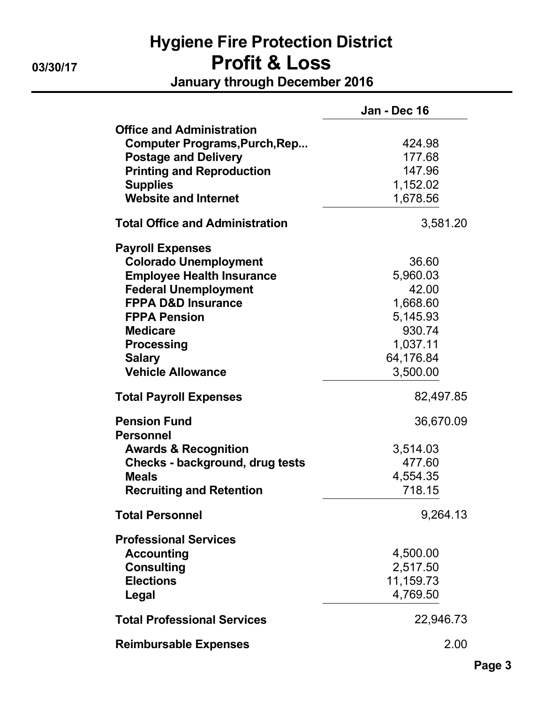# Hygiene Fire Protection District 03/30/17 Profit & Loss

January through December 2016

|                                         | Jan - Dec 16 |
|-----------------------------------------|--------------|
| <b>Office and Administration</b>        |              |
| <b>Computer Programs, Purch, Rep</b>    | 424.98       |
| <b>Postage and Delivery</b>             | 177.68       |
| <b>Printing and Reproduction</b>        | 147.96       |
| <b>Supplies</b>                         | 1,152.02     |
| <b>Website and Internet</b>             | 1,678.56     |
| <b>Total Office and Administration</b>  | 3,581.20     |
| <b>Payroll Expenses</b>                 |              |
| <b>Colorado Unemployment</b>            | 36.60        |
| <b>Employee Health Insurance</b>        | 5,960.03     |
| <b>Federal Unemployment</b>             | 42.00        |
| <b>FPPA D&amp;D Insurance</b>           | 1,668.60     |
| <b>FPPA Pension</b>                     | 5,145.93     |
| <b>Medicare</b>                         | 930.74       |
| <b>Processing</b>                       | 1,037.11     |
| <b>Salary</b>                           | 64,176.84    |
| <b>Vehicle Allowance</b>                | 3,500.00     |
| <b>Total Payroll Expenses</b>           | 82,497.85    |
| <b>Pension Fund</b><br><b>Personnel</b> | 36,670.09    |
| <b>Awards &amp; Recognition</b>         | 3,514.03     |
| <b>Checks - background, drug tests</b>  | 477.60       |
| <b>Meals</b>                            | 4,554.35     |
| <b>Recruiting and Retention</b>         | 718.15       |
|                                         |              |
| <b>Total Personnel</b>                  | 9,264.13     |
| <b>Professional Services</b>            |              |
| <b>Accounting</b>                       | 4,500.00     |
| <b>Consulting</b>                       | 2,517.50     |
| <b>Elections</b>                        | 11,159.73    |
| Legal                                   | 4,769.50     |
| <b>Total Professional Services</b>      | 22,946.73    |
| <b>Reimbursable Expenses</b>            | 2.00         |